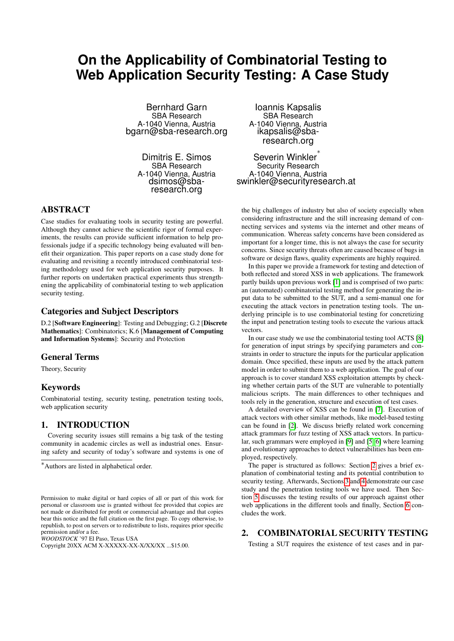# **On the Applicability of Combinatorial Testing to Web Application Security Testing: A Case Study**

Bernhard Garn SBA Research A-1040 Vienna, Austria bgarn@sba-research.org

Dimitris E. Simos SBA Research A-1040 Vienna, Austria dsimos@sbaresearch.org

## ABSTRACT

Case studies for evaluating tools in security testing are powerful. Although they cannot achieve the scientific rigor of formal experiments, the results can provide sufficient information to help professionals judge if a specific technology being evaluated will benefit their organization. This paper reports on a case study done for evaluating and revisiting a recently introduced combinatorial testing methodology used for web application security purposes. It further reports on undertaken practical experiments thus strengthening the applicability of combinatorial testing to web application security testing.

## Categories and Subject Descriptors

D.2 [Software Engineering]: Testing and Debugging; G.2 [Discrete Mathematics]: Combinatorics; K.6 [Management of Computing and Information Systems]: Security and Protection

# General Terms

Theory, Security

## Keywords

Combinatorial testing, security testing, penetration testing tools, web application security

# 1. INTRODUCTION

Covering security issues still remains a big task of the testing community in academic circles as well as industrial ones. Ensuring safety and security of today's software and systems is one of

*WOODSTOCK* '97 El Paso, Texas USA

Ioannis Kapsalis SBA Research A-1040 Vienna, Austria ikapsalis@sbaresearch.org

Severin Winkler<sup>\*</sup> Security Research A-1040 Vienna, Austria swinkler@securityresearch.at

the big challenges of industry but also of society especially when considering infrastructure and the still increasing demand of connecting services and systems via the internet and other means of communication. Whereas safety concerns have been considered as important for a longer time, this is not always the case for security concerns. Since security threats often are caused because of bugs in software or design flaws, quality experiments are highly required.

In this paper we provide a framework for testing and detection of both reflected and stored XSS in web applications. The framework partly builds upon previous work [\[1\]](#page-5-0) and is comprised of two parts: an (automated) combinatorial testing method for generating the input data to be submitted to the SUT, and a semi-manual one for executing the attack vectors in penetration testing tools. The underlying principle is to use combinatorial testing for concretizing the input and penetration testing tools to execute the various attack vectors.

In our case study we use the combinatorial testing tool ACTS [\[8\]](#page-5-1) for generation of input strings by specifying parameters and constraints in order to structure the inputs for the particular application domain. Once specified, these inputs are used by the attack pattern model in order to submit them to a web application. The goal of our approach is to cover standard XSS exploitation attempts by checking whether certain parts of the SUT are vulnerable to potentially malicious scripts. The main differences to other techniques and tools rely in the generation, structure and execution of test cases.

A detailed overview of XSS can be found in [\[7\]](#page-5-2). Execution of attack vectors with other similar methods, like model-based testing can be found in [\[2\]](#page-5-3). We discuss briefly related work concerning attack grammars for fuzz testing of XSS attack vectors. In particular, such grammars were employed in [\[9\]](#page-5-4) and [\[5,](#page-5-5) [6\]](#page-5-6) where learning and evolutionary approaches to detect vulnerabilities has been employed, respectively.

The paper is structured as follows: Section [2](#page-0-0) gives a brief explanation of combinatorial testing and its potential contribution to security testing. Afterwards, Sections [3](#page-1-0) and [4](#page-2-0) demonstrate our case study and the penetration testing tools we have used. Then Section [5](#page-2-1) discusses the testing results of our approach against other web applications in the different tools and finally, Section [6](#page-5-7) concludes the work.

#### <span id="page-0-0"></span>2. COMBINATORIAL SECURITY TESTING

Testing a SUT requires the existence of test cases and in par-

<sup>∗</sup>Authors are listed in alphabetical order.

Permission to make digital or hard copies of all or part of this work for personal or classroom use is granted without fee provided that copies are not made or distributed for profit or commercial advantage and that copies bear this notice and the full citation on the first page. To copy otherwise, to republish, to post on servers or to redistribute to lists, requires prior specific permission and/or a fee.

Copyright 20XX ACM X-XXXXX-XX-X/XX/XX ...\$15.00.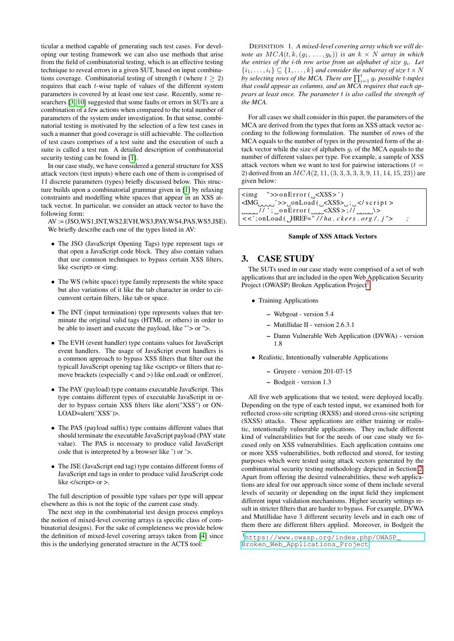ticular a method capable of generating such test cases. For developing our testing framework we can also use methods that arise from the field of combinatorial testing, which is an effective testing technique to reveal errors in a given SUT, based on input combinations coverage. Combinatorial testing of strength t (where  $t \geq 2$ ) requires that each t-wise tuple of values of the different system parameters is covered by at least one test case. Recently, some researchers [\[3,](#page-5-8) [10\]](#page-5-9) suggested that some faults or errors in SUTs are a combination of a few actions when compared to the total number of parameters of the system under investigation. In that sense, combinatorial testing is motivated by the selection of a few test cases in such a manner that good coverage is still achievable. The collection of test cases comprises of a test suite and the execution of such a suite is called a test run. A detailed description of combinatorial security testing can be found in [\[1\]](#page-5-0).

In our case study, we have considered a general structure for XSS attack vectors (test inputs) where each one of them is comprised of 11 discrete parameters (types) briefly discussed below. This structure builds upon a combinatorial grammar given in [\[1\]](#page-5-0) by relaxing constraints and modelling white spaces that appear in an XSS attack vector. In particular, we consider an attack vector to have the following form:

AV := (JSO,WS1,INT,WS2,EVH,WS3,PAY,WS4,PAS,WS5,JSE). We briefly describe each one of the types listed in AV:

- The JSO (JavaScript Opening Tags) type represent tags or that open a JavaScript code block. They also contain values that use common techniques to bypass certain XSS filters, like <script> or <img.
- The WS (white space) type family represents the white space but also variations of it like the tab character in order to circumvent certain filters, like tab or space.
- The INT (input termination) type represents values that terminate the original valid tags (HTML or others) in order to be able to insert and execute the payload, like "'> or ">.
- The EVH (event handler) type contains values for JavaScript event handlers. The usage of JavaScript event handlers is a common approach to bypass XSS filters that filter out the typicall JavaScript opening tag like <script> or filters that remove brackets (especially < and >) like onLoad( or onError(.
- The PAY (payload) type contains executable JavaScript. This type contains different types of executable JavaScript in order to bypass certain XSS filters like alert("XSS") or ON-LOAD=alert('XSS')>.
- The PAS (payload suffix) type contains different values that should terminate the executable JavaScript payload (PAY state value). The PAS is necessary to produce valid JavaScript code that is interpreted by a browser like ') or '>.
- The JSE (JavaScript end tag) type contains different forms of JavaScript end tags in order to produce valid JavaScript code like </script> or >.

The full description of possible type values per type will appear elsewhere as this is not the topic of the current case study.

The next step in the combinatorial test design process employs the notion of mixed-level covering arrays (a specific class of combinatorial designs). For the sake of completeness we provide below the definition of mixed-level covering arrays taken from [\[4\]](#page-5-10) since this is the underlying generated structure in the ACTS tool:

DEFINITION 1. *A mixed-level covering array which we will denote as*  $MCA(t, k, (g_1, \ldots, g_k))$  *is an*  $k \times N$  *array in which the entries of the i-th row arise from an alphabet of size* gi*. Let*  $\{i_1, \ldots, i_t\} \subseteq \{1, \ldots, k\}$  and consider the subarray of size  $t \times N$ by selecting rows of the MCA. There are  $\prod_{i=1}^t g_i$  possible t-tuples *that could appear as columns, and an MCA requires that each appears at least once. The parameter* t *is also called the strength of the MCA.*

For all cases we shall consider in this paper, the parameters of the MCA are derived from the types that form an XSS attack vector according to the following formulation. The number of rows of the MCA equals to the number of types in the presented form of the attack vector while the size of alphabets  $g_i$  of the MCA equals to the number of different values per type. For example, a sample of XSS attack vectors when we want to test for pairwise interactions ( $t =$ 2) derived from an  $MCA(2, 11, (3, 3, 3, 3, 3, 9, 11, 14, 15, 23))$  are given below:

 $\langle \text{img} \quad \text{``}\rangle > \text{onError}$  (  $\langle \text{XSS} \rangle$  ')  $\langle M G_{\text{unc}}' \rangle$ >  $\rangle$  on Load ( $\langle \langle XSS \rangle$ ;  $\langle \langle \langle SSS \rangle$  script  $\rangle$  $\Delta_{\text{max}}/I$  ' ;  $\Delta$  on Error (  $\Delta_{\text{max}}$  <XSS > ; /  $\Delta$   $\Delta_{\text{max}}$  \ > < < '; onLoad ( HREF= " */ / ha . c k e r s . o r g / . j "> ;*

#### Sample of XSS Attack Vectors

## <span id="page-1-0"></span>3. CASE STUDY

The SUTs used in our case study were comprised of a set of web applications that are included in the open Web Application Security Project (OWASP) Broken Application Project<sup>[1](#page-1-1)</sup>:

- Training Applications
	- Webgoat version 5.4
	- Mutillidae II version 2.6.3.1
	- Damn Vulnerable Web Application (DVWA) version 1.8
- Realistic, Intentionally vulnerable Applications
	- Gruyere version 201-07-15
	- Bodgeit version 1.3

All five web applications that we tested, were deployed locally. Depending on the type of each tested input, we examined both for reflected cross-site scripting (RXSS) and stored cross-site scripting (SXSS) attacks. These applications are either training or realistic, intentionally vulnerable applications. They include different kind of vulnerabilities but for the needs of our case study we focused only on XSS vulnerabilities. Each application contains one or more XSS vulnerabilities, both reflected and stored, for testing purposes which were tested using attack vectors generated by the combinatorial security testing methodology depicted in Section [2.](#page-0-0) Apart from offering the desired vulnerabilities, these web applications are ideal for our approach since some of them include several levels of security or depending on the input field they implement different input validation mechanisms. Higher security settings result in stricter filters that are harder to bypass. For example, DVWA and Mutillidae have 3 different security levels and in each one of them there are different filters applied. Moreover, in Bodgeit the

<span id="page-1-1"></span><sup>1</sup>[https://www.owasp.org/index.php/OWASP\\_](https://www.owasp.org/index.php/OWASP_Broken_Web_Applications_Project) [Broken\\_Web\\_Applications\\_Project](https://www.owasp.org/index.php/OWASP_Broken_Web_Applications_Project)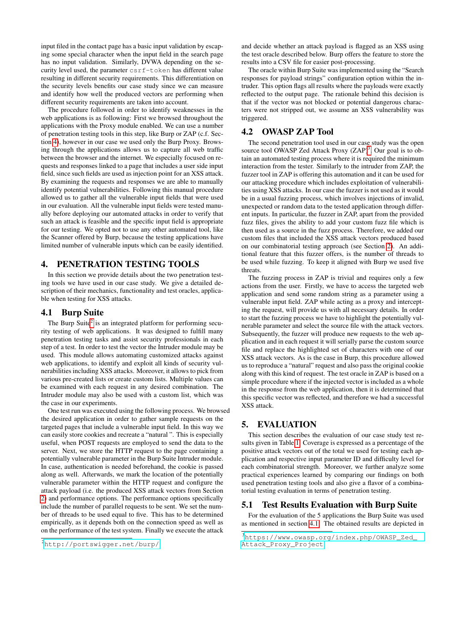input filed in the contact page has a basic input validation by escaping some special character when the input field in the search page has no input validation. Similarly, DVWA depending on the security level used, the parameter csrf-token has different value resulting in different security requirements. This differentiation on the security levels benefits our case study since we can measure and identify how well the produced vectors are performing when different security requirements are taken into account.

The procedure followed in order to identify weaknesses in the web applications is as following: First we browsed throughout the applications with the Proxy module enabled. We can use a number of penetration testing tools in this step, like Burp or ZAP (c.f. Section [4\)](#page-2-0), however in our case we used only the Burp Proxy. Browsing through the applications allows us to capture all web traffic between the browser and the internet. We especially focused on requests and responses linked to a page that includes a user side input field, since such fields are used as injection point for an XSS attack. By examining the requests and responses we are able to manually identify potential vulnerabilities. Following this manual procedure allowed us to gather all the vulnerable input fields that were used in our evaluation. All the vulnerable input fields were tested manually before deploying our automated attacks in order to verify that such an attack is feasible and the specific input field is appropriate for our testing. We opted not to use any other automated tool, like the Scanner offered by Burp, because the testing applications have limited number of vulnerable inputs which can be easily identified.

# <span id="page-2-0"></span>4. PENETRATION TESTING TOOLS

In this section we provide details about the two penetration testing tools we have used in our case study. We give a detailed description of their mechanics, functionality and test oracles, applicable when testing for XSS attacks.

## <span id="page-2-4"></span>4.1 Burp Suite

The Burp Suite<sup>[2](#page-2-2)</sup> is an integrated platform for performing security testing of web applications. It was designed to fulfill many penetration testing tasks and assist security professionals in each step of a test. In order to test the vector the Intruder module may be used. This module allows automating customized attacks against web applications, to identify and exploit all kinds of security vulnerabilities including XSS attacks. Moreover, it allows to pick from various pre-created lists or create custom lists. Multiple values can be examined with each request in any desired combination. The Intruder module may also be used with a custom list, which was the case in our experiments.

One test run was executed using the following process. We browsed the desired application in order to gather sample requests on the targeted pages that include a vulnerable input field. In this way we can easily store cookies and recreate a "natural ". This is especially useful, when POST requests are employed to send the data to the server. Next, we store the HTTP request to the page containing a potentially vulnerable parameter in the Burp Suite Intruder module. In case, authentication is needed beforehand, the cookie is passed along as well. Afterwards, we mark the location of the potentially vulnerable parameter within the HTTP request and configure the attack payload (i.e. the produced XSS attack vectors from Section [2\)](#page-0-0) and performance options. The performance options specifically include the number of parallel requests to be sent. We set the number of threads to be used equal to five. This has to be determined empirically, as it depends both on the connection speed as well as on the performance of the test system. Finally we execute the attack

and decide whether an attack payload is flagged as an XSS using the test oracle described below. Burp offers the feature to store the results into a CSV file for easier post-processing.

The oracle within Burp Suite was implemented using the "Search responses for payload strings" configuration option within the intruder. This option flags all results where the payloads were exactly reflected to the output page. The rationale behind this decision is that if the vector was not blocked or potential dangerous characters were not stripped out, we assume an XSS vulnerability was triggered.

## 4.2 OWASP ZAP Tool

The second penetration tool used in our case study was the open source tool OWASP Zed Attack Proxy  $(ZAP)^3$  $(ZAP)^3$ . Our goal is to obtain an automated testing process where it is required the minimum interaction from the tester. Similarly to the intruder from ZAP, the fuzzer tool in ZAP is offering this automation and it can be used for our attacking procedure which includes exploitation of vulnerabilities using XSS attacks. In our case the fuzzer is not used as it would be in a usual fuzzing process, which involves injections of invalid, unexpected or random data to the tested application through different inputs. In particular, the fuzzer in ZAP, apart from the provided fuzz files, gives the ability to add your custom fuzz file which is then used as a source in the fuzz process. Therefore, we added our custom files that included the XSS attack vectors produced based on our combinatorial testing approach (see Section [2\)](#page-0-0). An additional feature that this fuzzer offers, is the number of threads to be used while fuzzing. To keep it aligned with Burp we used five threats.

The fuzzing process in ZAP is trivial and requires only a few actions from the user. Firstly, we have to access the targeted web application and send some random string as a parameter using a vulnerable input field. ZAP while acting as a proxy and intercepting the request, will provide us with all necessary details. In order to start the fuzzing process we have to highlight the potentially vulnerable parameter and select the source file with the attack vectors. Subsequently, the fuzzer will produce new requests to the web application and in each request it will serially parse the custom source file and replace the highlighted set of characters with one of our XSS attack vectors. As is the case in Burp, this procedure allowed us to reproduce a "natural" request and also pass the original cookie along with this kind of request. The test oracle in ZAP is based on a simple procedure where if the injected vector is included as a whole in the response from the web application, then it is determined that this specific vector was reflected, and therefore we had a successful XSS attack.

## <span id="page-2-1"></span>5. EVALUATION

This section describes the evaluation of our case study test results given in Table [1.](#page-3-0) Coverage is expressed as a percentage of the positive attack vectors out of the total we used for testing each application and respective input parameter ID and difficulty level for each combinatorial strength. Moreover, we further analyze some practical experiences learned by comparing our findings on both used penetration testing tools and also give a flavor of a combinatorial testing evaluation in terms of penetration testing.

## 5.1 Test Results Evaluation with Burp Suite

For the evaluation of the 5 applications the Burp Suite was used as mentioned in section [4.1.](#page-2-4) The obtained results are depicted in

<span id="page-2-2"></span><sup>2</sup><http://portswigger.net/burp/>

<span id="page-2-3"></span><sup>3</sup>[https://www.owasp.org/index.php/OWASP\\_Zed\\_](https://www.owasp.org/index.php/OWASP_Zed_Attack_Proxy_Project) [Attack\\_Proxy\\_Project](https://www.owasp.org/index.php/OWASP_Zed_Attack_Proxy_Project)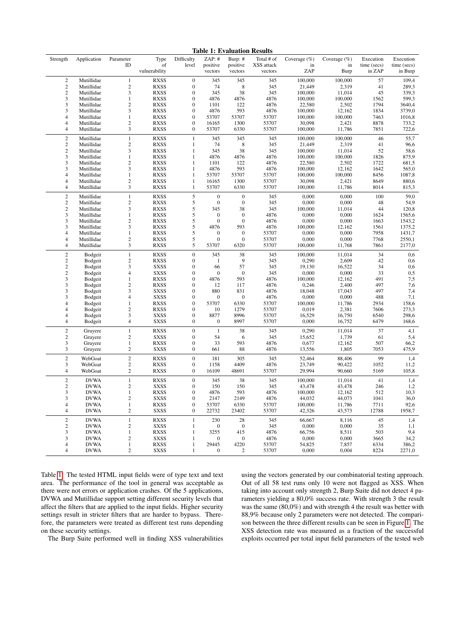<span id="page-3-0"></span>Table 1: Evaluation Results

| Strength                             | Application                | Parameter<br>ID                         | Type<br>of                 | Difficulty<br>level                  | ZAP: #<br>positive           | Burp: #<br>positive                  | Total # of<br>XSS attack | Coverage $(\%)$<br>in | Coverage $(\%)$<br>in | Execution<br>time (secs) | Execution<br>time (secs) |
|--------------------------------------|----------------------------|-----------------------------------------|----------------------------|--------------------------------------|------------------------------|--------------------------------------|--------------------------|-----------------------|-----------------------|--------------------------|--------------------------|
|                                      |                            |                                         | vulnerability              |                                      | vectors                      | vectors                              | vectors                  | ZAP                   | Burp                  | in ZAP                   | in Burp                  |
| $\mathbf{2}$                         | Mutillidae                 | $\mathbf{1}$                            | <b>RXSS</b>                | $\mathbf{0}$                         | 345                          | 345                                  | 345                      | 100,000               | 100,000               | 57                       | 109,4                    |
| $\sqrt{2}$                           | Mutillidae                 | $\sqrt{2}$<br>3                         | <b>RXSS</b>                | $\boldsymbol{0}$                     | 74                           | 8                                    | 345                      | 21,449                | 2,319                 | 41                       | 289,3                    |
| $\sqrt{2}$<br>3                      | Mutillidae<br>Mutillidae   | $\mathbf{1}$                            | <b>RXSS</b><br><b>RXSS</b> | $\boldsymbol{0}$<br>$\boldsymbol{0}$ | 345<br>4876                  | 38<br>4876                           | 345<br>4876              | 100,000<br>100,000    | 11,014<br>100,000     | 45<br>1562               | 339,3<br>599,3           |
| 3                                    | Mutillidae                 | $\mathbf{2}$                            | <b>RXSS</b>                | $\mathbf{0}$                         | 1101                         | 122                                  | 4876                     | 22,580                | 2,502                 | 1794                     | 3640,4                   |
| 3                                    | Mutillidae                 | 3                                       | <b>RXSS</b>                | $\overline{0}$                       | 4876                         | 593                                  | 4876                     | 100,000               | 12,162                | 1834                     | 3739,0                   |
| 4                                    | Mutillidae                 | $\mathbf{1}$                            | <b>RXSS</b>                | $\boldsymbol{0}$                     | 53707                        | 53707                                | 53707                    | 100,000               | 100,000               | 7463                     | 1016,8                   |
| 4                                    | Mutillidae                 | $\overline{c}$                          | <b>RXSS</b>                | $\boldsymbol{0}$                     | 16165                        | 1300                                 | 53707                    | 30,098                | 2,421                 | 8878                     | 733,2                    |
| 4                                    | Mutillidae                 | 3                                       | <b>RXSS</b>                | $\boldsymbol{0}$                     | 53707                        | 6330                                 | 53707                    | 100,000               | 11,786                | 7851                     | 722,6                    |
| $\mathbf{2}$                         | Mutillidae                 | $\mathbf{1}$                            | <b>RXSS</b>                | $\mathbf{1}$                         | 345                          | 345                                  | 345                      | 100,000               | 100,000               | 46                       | 55,7                     |
| $\mathbf{2}$                         | Mutillidae                 | $\overline{c}$                          | <b>RXSS</b>                | $\mathbf{1}$                         | 74                           | $\,$ 8 $\,$                          | 345                      | 21,449                | 2,319                 | 41                       | 96,6                     |
| $\sqrt{2}$                           | Mutillidae                 | 3                                       | <b>RXSS</b>                | $\mathbf{1}$                         | 345                          | 38                                   | 345                      | 100,000               | 11,014                | 52                       | 58,6                     |
| 3                                    | Mutillidae                 | $\mathbf{1}$                            | <b>RXSS</b>                | $\mathbf{1}$                         | 4876                         | 4876                                 | 4876                     | 100,000               | 100,000               | 1826                     | 875,9                    |
| 3                                    | Mutillidae                 | $\sqrt{2}$                              | <b>RXSS</b>                | $\mathbf{1}$                         | 1101                         | 122                                  | 4876                     | 22,580                | 2,502                 | 1722                     | 681,5                    |
| 3                                    | Mutillidae                 | 3<br>$\mathbf{1}$                       | <b>RXSS</b><br><b>RXSS</b> | $\mathbf{1}$                         | 4876                         | 593                                  | 4876<br>53707            | 100,000               | 12,162                | 1642                     | 565,0                    |
| 4<br>4                               | Mutillidae<br>Mutillidae   | $\sqrt{2}$                              | <b>RXSS</b>                | 1<br>$\mathbf{1}$                    | 53707<br>16165               | 53707<br>1300                        | 53707                    | 100,000<br>30,098     | 100,000<br>2,421      | 8456<br>8649             | 1087,8<br>880,6          |
| 4                                    | Mutillidae                 | 3                                       | <b>RXSS</b>                | $\mathbf{1}$                         | 53707                        | 6330                                 | 53707                    | 100,000               | 11,786                | 8014                     | 815,3                    |
|                                      |                            |                                         |                            |                                      |                              |                                      |                          |                       |                       |                          |                          |
| $\boldsymbol{2}$<br>$\boldsymbol{2}$ | Mutillidae<br>Mutillidae   | $\mathbf{1}$<br>$\overline{c}$          | <b>RXSS</b><br><b>RXSS</b> | 5<br>5                               | $\mathbf{0}$<br>$\mathbf{0}$ | $\boldsymbol{0}$<br>$\boldsymbol{0}$ | 345<br>345               | 0,000<br>0,000        | 0,000<br>0,000        | 100<br>48                | 59,0<br>54,9             |
| $\overline{\mathbf{c}}$              | Mutillidae                 | 3                                       | <b>RXSS</b>                | 5                                    | 345                          | 38                                   | 345                      | 100,000               | 11,014                | 44                       | 120,8                    |
| 3                                    | Mutillidae                 | $\mathbf{1}$                            | <b>RXSS</b>                | 5                                    | $\mathbf{0}$                 | $\mathbf{0}$                         | 4876                     | 0,000                 | 0,000                 | 1624                     | 1565,6                   |
| 3                                    | Mutillidae                 | $\sqrt{2}$                              | <b>RXSS</b>                | 5                                    | $\boldsymbol{0}$             | $\boldsymbol{0}$                     | 4876                     | 0,000                 | 0,000                 | 1663                     | 1543,2                   |
| 3                                    | Mutillidae                 | 3                                       | <b>RXSS</b>                | 5                                    | 4876                         | 593                                  | 4876                     | 100,000               | 12,162                | 1561                     | 1375,2                   |
| 4                                    | Mutillidae                 | $\mathbf{1}$                            | <b>RXSS</b>                | 5                                    | $\mathbf{0}$                 | $\boldsymbol{0}$                     | 53707                    | 0,000                 | 0,000                 | 7958                     | 1431,7                   |
| 4                                    | Mutillidae                 | $\sqrt{2}$                              | <b>RXSS</b>                | 5                                    | $\boldsymbol{0}$             | $\boldsymbol{0}$                     | 53707                    | 0,000                 | 0,000                 | 7768                     | 2550,1                   |
| 4                                    | Mutillidae                 | 3                                       | <b>RXSS</b>                | 5                                    | 53707                        | 6320                                 | 53707                    | 100,000               | 11,768                | 7861                     | 2177,0                   |
| $\boldsymbol{2}$                     | Bodgeit                    | $\mathbf{1}$                            | <b>RXSS</b>                | $\mathbf{0}$                         | 345                          | 38                                   | 345                      | 100,000               | 11,014                | 34                       | 0,6                      |
| $\boldsymbol{2}$                     | Bodgeit                    | $\sqrt{2}$                              | <b>RXSS</b>                | $\boldsymbol{0}$                     | 1                            | 9                                    | 345                      | 0,290                 | 2,609                 | 42                       | 0,6                      |
| $\boldsymbol{2}$                     | Bodgeit                    | 3                                       | <b>SXSS</b>                | $\boldsymbol{0}$                     | 66                           | 57                                   | 345                      | 19,130                | 16,522                | 34                       | 0,6                      |
| $\overline{\mathbf{c}}$              | Bodgeit                    | $\overline{4}$                          | <b>SXSS</b>                | $\mathbf{0}$                         | $\theta$                     | $\mathbf{0}$                         | 345                      | 0,000                 | 0,000                 | 33                       | 0,5                      |
| 3                                    | Bodgeit                    | $\mathbf{1}$                            | <b>RXSS</b>                | $\mathbf{0}$                         | 4876                         | 593                                  | 4876                     | 100,000               | 12,162                | 491                      | 7,5                      |
| 3                                    | Bodgeit                    | $\sqrt{2}$                              | <b>RXSS</b>                | $\boldsymbol{0}$                     | 12                           | 117                                  | 4876                     | 0,246                 | 2,400                 | 497                      | 7,6                      |
| 3                                    | Bodgeit                    | 3                                       | <b>SXSS</b>                | $\boldsymbol{0}$                     | 880                          | 831                                  | 4876                     | 18,048                | 17,043                | 497                      | 7,4                      |
| 3                                    | Bodgeit                    | $\overline{4}$                          | <b>SXSS</b>                | $\boldsymbol{0}$                     | $\boldsymbol{0}$             | $\boldsymbol{0}$                     | 4876                     | 0,000                 | 0,000                 | 488                      | 7,1                      |
| 4                                    | Bodgeit                    | $\mathbf{1}$                            | <b>RXSS</b>                | $\boldsymbol{0}$                     | 53707                        | 6330                                 | 53707                    | 100,000               | 11,786                | 2934                     | 158,6                    |
| 4                                    | Bodgeit                    | $\overline{c}$                          | <b>RXSS</b>                | $\boldsymbol{0}$<br>$\boldsymbol{0}$ | 10                           | 1279                                 | 53707                    | 0,019                 | 2,381                 | 7606                     | 273,3                    |
| 4<br>4                               | Bodgeit<br>Bodgeit         | $\mathfrak{Z}$<br>$\overline{4}$        | <b>SXSS</b><br><b>SXSS</b> | $\boldsymbol{0}$                     | 8877<br>$\boldsymbol{0}$     | 8996<br>8997                         | 53707<br>53707           | 16,529<br>0,000       | 16,750<br>16,752      | 6540<br>6479             | 298,6<br>168,6           |
|                                      |                            |                                         |                            |                                      |                              |                                      |                          |                       |                       |                          |                          |
| $\overline{c}$                       | Gruyere                    | $\mathbf{1}$                            | <b>RXSS</b>                | $\boldsymbol{0}$                     | $\mathbf{1}$                 | 38                                   | 345                      | 0,290                 | 11,014                | 37                       | 4,1                      |
| 2                                    | Gruyere                    | $\sqrt{2}$                              | <b>SXSS</b>                | $\boldsymbol{0}$                     | 54                           | 6                                    | 345                      | 15,652                | 1,739                 | 61                       | 5,4                      |
| 3<br>3                               | Gruyere<br>Gruyere         | $\mathbf{1}$<br>$\overline{c}$          | <b>RXSS</b><br><b>SXSS</b> | $\boldsymbol{0}$<br>$\boldsymbol{0}$ | 33<br>661                    | 593<br>88                            | 4876<br>4876             | 0,677<br>13,556       | 12,162<br>1,805       | 507<br>7053              | 66,2<br>475,9            |
|                                      |                            |                                         |                            |                                      |                              |                                      |                          |                       |                       |                          |                          |
| $\sqrt{2}$                           | WebGoat                    | $\sqrt{2}$                              | <b>RXSS</b>                | $\boldsymbol{0}$                     | 181                          | 305                                  | 345                      | 52,464                | 88,406                | 99                       | 1,4                      |
| 3                                    | WebGoat                    | $\overline{\mathbf{c}}$                 | <b>RXSS</b>                | $\boldsymbol{0}$                     | 1158                         | 4409                                 | 4876                     | 23,749                | 90,422                | 1052                     | 11,2                     |
| 4                                    | WebGoat                    | $\boldsymbol{2}$                        | <b>RXSS</b>                | $\boldsymbol{0}$                     | 16109                        | 48691                                | 53707                    | 29,994                | 90,660                | 5169                     | 105,8                    |
| $\boldsymbol{2}$                     | <b>DVWA</b>                | $\mathbf{1}$                            | <b>RXSS</b>                | $\boldsymbol{0}$                     | 345                          | 38                                   | 345                      | 100,000               | 11,014                | 41                       | 1,4                      |
| $\boldsymbol{2}$                     | <b>DVWA</b>                | $\overline{c}$                          | <b>SXSS</b>                | $\mathbf{0}$                         | 150                          | 150                                  | 345                      | 43,478                | 43,478                | 246                      | 1,2                      |
| 3                                    | <b>DVWA</b>                | $\mathbf{1}$                            | <b>RXSS</b>                | $\theta$                             | 4876                         | 593                                  | 4876                     | 100,000               | 12,162                | 512                      | 10,3                     |
| 3                                    | <b>DVWA</b>                | $\sqrt{2}$                              | <b>SXSS</b>                | $\boldsymbol{0}$                     | 2147                         | 2149                                 | 4876                     | 44,032                | 44,073                | 1041                     | 36,0                     |
| 4<br>4                               | <b>DVWA</b><br><b>DVWA</b> | $\mathbf{1}$<br>$\overline{\mathbf{c}}$ | <b>RXSS</b><br><b>SXSS</b> | $\boldsymbol{0}$<br>$\boldsymbol{0}$ | 53707<br>22732               | 6330<br>23402                        | 53707<br>53707           | 100,000<br>42,326     | 11,786<br>43,573      | 7711<br>12788            | 92,6<br>1958,7           |
|                                      |                            |                                         |                            |                                      |                              |                                      |                          |                       |                       |                          |                          |
| $\sqrt{2}$                           | <b>DVWA</b>                | $\mathbf{1}$                            | <b>RXSS</b>                | 1                                    | 230                          | 28                                   | 345                      | 66,667                | 8,116                 | 45                       | 1,4                      |
| $\overline{c}$                       | <b>DVWA</b>                | $\sqrt{2}$                              | <b>SXSS</b>                | 1                                    | $\boldsymbol{0}$             | $\boldsymbol{0}$                     | 345                      | 0,000                 | 0,000                 | 35                       | 1,1                      |
| 3                                    | <b>DVWA</b>                | $\mathbf{1}$                            | <b>RXSS</b>                | 1                                    | 3255                         | 415                                  | 4876                     | 66,756                | 8,511                 | 503                      | 9,4                      |
| 3                                    | <b>DVWA</b><br><b>DVWA</b> | $\sqrt{2}$<br>$\mathbf{1}$              | SXSS                       | 1                                    | 0<br>29445                   | $\mathbf{0}$<br>4220                 | 4876                     | 0,000                 | 0,000<br>7,857        | 3665                     | 34,2                     |
| 4<br>4                               | <b>DVWA</b>                | $\boldsymbol{2}$                        | <b>RXSS</b><br>SXSS        | 1<br>1                               | $\mathbf{0}$                 | $\boldsymbol{2}$                     | 53707<br>53707           | 54,825<br>0,000       | 0,004                 | 6334<br>8224             | 386,2<br>2271,0          |
|                                      |                            |                                         |                            |                                      |                              |                                      |                          |                       |                       |                          |                          |

Table [1.](#page-3-0) The tested HTML input fields were of type text and text area. The performance of the tool in general was acceptable as there were not errors or application crashes. Of the 5 applications, DVWA and Mutillidae support setting different security levels that affect the filters that are applied to the input fields. Higher security settings result in stricter filters that are harder to bypass. Therefore, the parameters were treated as different test runs depending on these security settings.

The Burp Suite performed well in finding XSS vulnerabilities

using the vectors generated by our combinatorial testing approach. Out of all 58 test runs only 10 were not flagged as XSS. When taking into account only strength 2, Burp Suite did not detect 4 parameters yielding a 80,0% success rate. With strength 3 the result was the same (80,0%) and with strength 4 the result was better with 88,9% because only 2 parameters were not detected. The comparison between the three different results can be seen in Figure [1.](#page-4-0) The XSS detection rate was measured as a fraction of the successful exploits occurred per total input field parameters of the tested web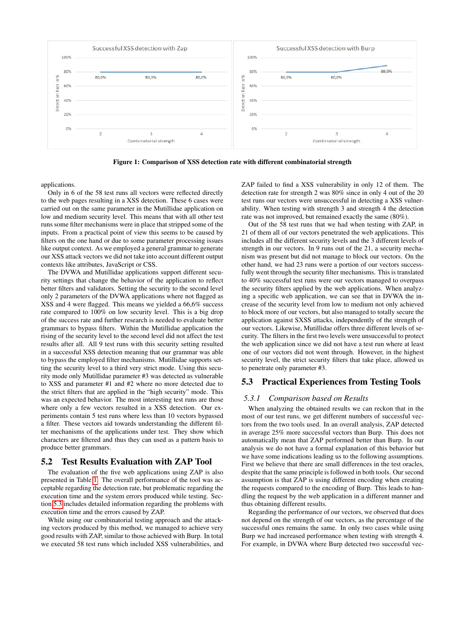

<span id="page-4-0"></span>Figure 1: Comparison of XSS detection rate with different combinatorial strength

applications.

Only in 6 of the 58 test runs all vectors were reflected directly to the web pages resulting in a XSS detection. These 6 cases were carried out on the same parameter in the Mutillidae application on low and medium security level. This means that with all other test runs some filter mechanisms were in place that stripped some of the inputs. From a practical point of view this seems to be caused by filters on the one hand or due to some parameter processing issues like output context. As we employed a general grammar to generate our XSS attack vectors we did not take into account different output contexts like attributes, JavaScript or CSS.

The DVWA and Mutillidae applications support different security settings that change the behavior of the application to reflect better filters and validators. Setting the security to the second level only 2 parameters of the DVWA applications where not flagged as XSS and 4 were flagged. This means we yielded a 66,6% success rate compared to 100% on low security level. This is a big drop of the success rate and further research is needed to evaluate better grammars to bypass filters. Within the Mutillidae application the rising of the security level to the second level did not affect the test results after all. All 9 test runs with this security setting resulted in a successful XSS detection meaning that our grammar was able to bypass the employed filter mechanisms. Mutillidae supports setting the security level to a third very strict mode. Using this security mode only Mutillidae parameter #3 was detected as vulnerable to XSS and parameter #1 and #2 where no more detected due to the strict filters that are applied in the "high security" mode. This was an expected behavior. The most interesting test runs are those where only a few vectors resulted in a XSS detection. Our experiments contain 5 test runs where less than 10 vectors bypassed a filter. These vectors aid towards understanding the different filter mechanisms of the applications under test. They show which characters are filtered and thus they can used as a pattern basis to produce better grammars.

## 5.2 Test Results Evaluation with ZAP Tool

The evaluation of the five web applications using ZAP is also presented in Table [1.](#page-3-0) The overall performance of the tool was acceptable regarding the detection rate, but problematic regarding the execution time and the system errors produced while testing. Section [5.3](#page-4-1) includes detailed information regarding the problems with execution time and the errors caused by ZAP.

While using our combinatorial testing approach and the attacking vectors produced by this method, we managed to achieve very good results with ZAP, similar to those achieved with Burp. In total we executed 58 test runs which included XSS vulnerabilities, and ZAP failed to find a XSS vulnerability in only 12 of them. The detection rate for strength 2 was 80% since in only 4 out of the 20 test runs our vectors were unsuccessful in detecting a XSS vulnerability. When testing with strength 3 and strength 4 the detection rate was not improved, but remained exactly the same (80%).

Out of the 58 test runs that we had when testing with ZAP, in 21 of them all of our vectors penetrated the web applications. This includes all the different security levels and the 3 different levels of strength in our vectors. In 9 runs out of the 21, a security mechanism was present but did not manage to block our vectors. On the other hand, we had 23 runs were a portion of our vectors successfully went through the security filter mechanisms. This is translated to 40% successful test runs were our vectors managed to overpass the security filters applied by the web applications. When analyzing a specific web application, we can see that in DVWA the increase of the security level from low to medium not only achieved to block more of our vectors, but also managed to totally secure the application against SXSS attacks, independently of the strength of our vectors. Likewise, Mutillidae offers three different levels of security. The filters in the first two levels were unsuccessful to protect the web application since we did not have a test run where at least one of our vectors did not went through. However, in the highest security level, the strict security filters that take place, allowed us to penetrate only parameter #3.

## <span id="page-4-1"></span>5.3 Practical Experiences from Testing Tools

#### *5.3.1 Comparison based on Results*

When analyzing the obtained results we can reckon that in the most of our test runs, we get different numbers of successful vectors from the two tools used. In an overall analysis, ZAP detected in average 25% more successful vectors than Burp. This does not automatically mean that ZAP performed better than Burp. In our analysis we do not have a formal explanation of this behavior but we have some indications leading us to the following assumptions. First we believe that there are small differences in the test oracles, despite that the same principle is followed in both tools. Our second assumption is that ZAP is using different encoding when creating the requests compared to the encoding of Burp. This leads to handling the request by the web application in a different manner and thus obtaining different results.

Regarding the performance of our vectors, we observed that does not depend on the strength of our vectors, as the percentage of the successful ones remains the same. In only two cases while using Burp we had increased performance when testing with strength 4. For example, in DVWA where Burp detected two successful vec-